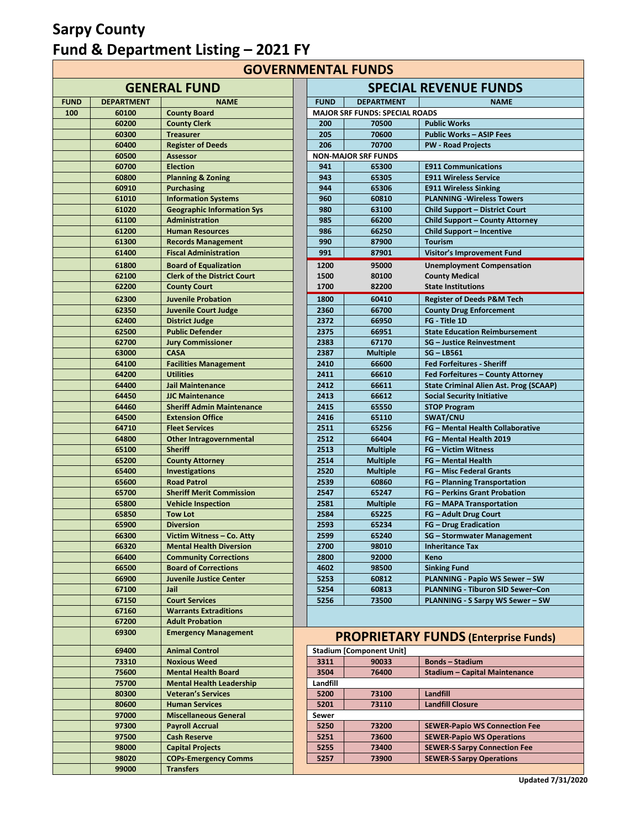# **Sarpy County Fund & Department Listing – 2021 FY**

**GOVERNMENTAL FUNDS**

|             |                   | <b>GENERAL FUND</b>                                  |              |                                       | <b>SPECIAL REVENUE FUND</b>                  |
|-------------|-------------------|------------------------------------------------------|--------------|---------------------------------------|----------------------------------------------|
| <b>FUND</b> | <b>DEPARTMENT</b> | <b>NAME</b>                                          | <b>FUND</b>  | <b>DEPARTMENT</b>                     | <b>NAME</b>                                  |
| 100         | 60100             | <b>County Board</b>                                  |              | <b>MAJOR SRF FUNDS: SPECIAL ROADS</b> |                                              |
|             | 60200             | <b>County Clerk</b>                                  | 200          | 70500                                 | <b>Public Works</b>                          |
|             | 60300             | <b>Treasurer</b>                                     | 205          | 70600                                 | <b>Public Works - ASIP Fees</b>              |
|             | 60400             | <b>Register of Deeds</b>                             | 206          | 70700                                 | <b>PW - Road Projects</b>                    |
|             | 60500             | <b>Assessor</b>                                      |              | <b>NON-MAJOR SRF FUNDS</b>            |                                              |
|             | 60700             | <b>Election</b>                                      | 941          | 65300                                 | <b>E911 Communications</b>                   |
|             | 60800             | <b>Planning &amp; Zoning</b>                         | 943          | 65305                                 | <b>E911 Wireless Service</b>                 |
|             | 60910             | <b>Purchasing</b>                                    | 944          | 65306                                 | <b>E911 Wireless Sinking</b>                 |
|             | 61010             | <b>Information Systems</b>                           | 960          | 60810                                 | <b>PLANNING - Wireless Tow</b>               |
|             | 61020             | <b>Geographic Information Sys</b>                    | 980          | 63100                                 | Child Support - District Co                  |
|             | 61100             | Administration                                       | 985          | 66200                                 | Child Support - County A                     |
|             | 61200             | <b>Human Resources</b>                               | 986          | 66250                                 | <b>Child Support - Incentive</b>             |
|             | 61300             | <b>Records Management</b>                            | 990          | 87900                                 | <b>Tourism</b>                               |
|             | 61400             | <b>Fiscal Administration</b>                         | 991          | 87901                                 | <b>Visitor's Improvement Fu</b>              |
|             | 61800             | <b>Board of Equalization</b>                         | 1200         | 95000                                 | <b>Unemployment Compens</b>                  |
|             | 62100             | <b>Clerk of the District Court</b>                   | 1500         | 80100                                 | <b>County Medical</b>                        |
|             | 62200             | <b>County Court</b>                                  | 1700         | 82200                                 | <b>State Institutions</b>                    |
|             |                   |                                                      | 1800         | 60410                                 |                                              |
|             | 62300<br>62350    | <b>Juvenile Probation</b>                            | 2360         | 66700                                 | <b>Register of Deeds P&amp;M To</b>          |
|             | 62400             | <b>Juvenile Court Judge</b><br><b>District Judge</b> | 2372         | 66950                                 | <b>County Drug Enforcemen</b><br>FG Title 1D |
|             | 62500             | <b>Public Defender</b>                               |              | 66951                                 | <b>State Education Reimburs</b>              |
|             | 62700             | <b>Jury Commissioner</b>                             | 2375<br>2383 | 67170                                 | <b>SG</b> - Justice Reinvestmen              |
|             | 63000             | <b>CASA</b>                                          | 2387         | <b>Multiple</b>                       | <b>SG-LB561</b>                              |
|             | 64100             | <b>Facilities Management</b>                         | 2410         | 66600                                 | <b>Fed Forfeitures - Sheriff</b>             |
|             | 64200             | <b>Utilities</b>                                     | 2411         | 66610                                 | Fed Forfeitures - County                     |
|             | 64400             | <b>Jail Maintenance</b>                              | 2412         | 66611                                 | <b>State Criminal Alien Ast.</b>             |
|             | 64450             | <b>JJC Maintenance</b>                               | 2413         | 66612                                 | <b>Social Security Initiative</b>            |
|             | 64460             | <b>Sheriff Admin Maintenance</b>                     | 2415         | 65550                                 | <b>STOP Program</b>                          |
|             | 64500             | <b>Extension Office</b>                              | 2416         | 65110                                 | SWAT/CNU                                     |
|             | 64710             | <b>Fleet Services</b>                                | 2511         | 65256                                 | <b>FG</b> - Mental Health Collal             |
|             | 64800             | <b>Other Intragovernmental</b>                       | 2512         | 66404                                 | FG - Mental Health 2019                      |
|             | 65100             | <b>Sheriff</b>                                       | 2513         | <b>Multiple</b>                       | <b>FG</b> - Victim Witness                   |
|             | 65200             | <b>County Attorney</b>                               | 2514         | <b>Multiple</b>                       | <b>FG</b> - Mental Health                    |
|             | 65400             | Investigations                                       | 2520         | <b>Multiple</b>                       | <b>FG</b> - Misc Federal Grants              |
|             | 65600             | <b>Road Patrol</b>                                   | 2539         | 60860                                 | <b>FG</b> - Planning Transporta              |
|             | 65700             | <b>Sheriff Merit Commission</b>                      | 2547         | 65247                                 | <b>FG</b> - Perkins Grant Proba              |
|             | 65800             | <b>Vehicle Inspection</b>                            | 2581         | <b>Multiple</b>                       | <b>FG - MAPA Transportatio</b>               |
|             | 65850             | <b>Tow Lot</b>                                       | 2584         | 65225                                 | <b>FG</b> - Adult Drug Court                 |
|             | 65900             | <b>Diversion</b>                                     | 2593         | 65234                                 | <b>FG</b> – Drug Eradication                 |
|             | 66300             | Victim Witness - Co. Atty                            | 2599         | 65240                                 | <b>SG - Stormwater Manage</b>                |
|             | 66320             | <b>Mental Health Diversion</b>                       | 2700         | 98010                                 | <b>Inheritance Tax</b>                       |
|             | 66400             | <b>Community Corrections</b>                         | 2800         | 92000                                 | Keno                                         |
|             | 66500             | <b>Board of Corrections</b>                          | 4602         | 98500                                 | <b>Sinking Fund</b>                          |
|             | 66900             | <b>Juvenile Justice Center</b>                       | 5253         | 60812                                 | PLANNING - Papio WS Set                      |
|             | 67100             | Jail                                                 | 5254         | 60813                                 | <b>PLANNING - Tiburon SID 9</b>              |
|             | 67150             | <b>Court Services</b>                                | 5256         | 73500                                 | <b>PLANNING - S Sarpy WS S</b>               |
|             | 67160             | <b>Warrants Extraditions</b>                         |              |                                       |                                              |
|             | 67200             | <b>Adult Probation</b>                               |              |                                       |                                              |
|             | 69300             | <b>Emergency Management</b>                          |              |                                       | <b>PROPRIETARY FUNDS (Enterpris</b>          |
|             |                   |                                                      |              |                                       |                                              |
|             | 69400             | <b>Animal Control</b>                                |              | <b>Stadium [Component Unit]</b>       |                                              |
|             | 73310             | <b>Noxious Weed</b>                                  | 3311         | 90033                                 | <b>Bonds-Stadium</b>                         |
|             | 75600             | <b>Mental Health Board</b>                           | 3504         | 76400                                 | <b>Stadium - Capital Mainte</b>              |
|             | 75700             | <b>Mental Health Leadership</b>                      | Landfill     |                                       |                                              |
|             | 80300             | <b>Veteran's Services</b>                            | 5200         | 73100                                 | Landfill                                     |
|             | 80600             | <b>Human Services</b>                                | 5201         | 73110                                 | <b>Landfill Closure</b>                      |
|             | 97000             | <b>Miscellaneous General</b>                         | Sewer        |                                       |                                              |
|             | 97300             | <b>Payroll Accrual</b>                               | 5250         | 73200                                 | <b>SEWER-Papio WS Connec</b>                 |
|             | 97500             | <b>Cash Reserve</b>                                  | 5251         | 73600                                 | <b>SEWER-Papio WS Operati</b>                |
|             | 98000             | <b>Capital Projects</b>                              | 5255         | 73400                                 | <b>SEWER-S Sarpy Connection</b>              |
|             | 98020             | <b>COPs-Emergency Comms</b>                          | 5257         | 73900                                 | <b>SEWER-S Sarpy Operation</b>               |
|             | 99000             | <b>Transfers</b>                                     |              |                                       |                                              |

|                | <b>GENERAL FUND</b>                         |             |                                       | <b>SPECIAL REVENUE FUNDS</b>                                               |
|----------------|---------------------------------------------|-------------|---------------------------------------|----------------------------------------------------------------------------|
| <b>ARTMENT</b> | <b>NAME</b>                                 | <b>FUND</b> | <b>DEPARTMENT</b>                     | <b>NAME</b>                                                                |
| 60100          | <b>County Board</b>                         |             | <b>MAJOR SRF FUNDS: SPECIAL ROADS</b> |                                                                            |
| 60200          | <b>County Clerk</b>                         | 200         | 70500                                 | <b>Public Works</b>                                                        |
| 60300          | <b>Treasurer</b>                            | 205         | 70600                                 | <b>Public Works - ASIP Fees</b>                                            |
| 60400          | <b>Register of Deeds</b>                    | 206         | 70700                                 | <b>PW - Road Projects</b>                                                  |
| 60500          | <b>Assessor</b>                             |             | <b>NON-MAJOR SRF FUNDS</b>            |                                                                            |
| 60700          | <b>Election</b>                             | 941         | 65300                                 | <b>E911 Communications</b>                                                 |
| 60800          | <b>Planning &amp; Zoning</b>                | 943         | 65305                                 | <b>E911 Wireless Service</b>                                               |
| 60910          | <b>Purchasing</b>                           | 944         | 65306                                 | <b>E911 Wireless Sinking</b>                                               |
| 61010          | <b>Information Systems</b>                  | 960         | 60810                                 | <b>PLANNING - Wireless Towers</b>                                          |
| 61020          | <b>Geographic Information Sys</b>           | 980         | 63100                                 | <b>Child Support - District Court</b>                                      |
| 61100          | <b>Administration</b>                       | 985         | 66200                                 | <b>Child Support - County Attorney</b>                                     |
| 61200          | <b>Human Resources</b>                      | 986         | 66250                                 | <b>Child Support - Incentive</b>                                           |
| 61300          | <b>Records Management</b>                   | 990         | 87900                                 | <b>Tourism</b>                                                             |
| 61400          | <b>Fiscal Administration</b>                | 991         | 87901                                 | <b>Visitor's Improvement Fund</b>                                          |
| 61800          | <b>Board of Equalization</b>                | 1200        | 95000                                 | <b>Unemployment Compensation</b>                                           |
| 62100          | <b>Clerk of the District Court</b>          | 1500        | 80100                                 | <b>County Medical</b>                                                      |
| 62200          | <b>County Court</b>                         | 1700        | 82200                                 | <b>State Institutions</b>                                                  |
| 62300          | <b>Juvenile Probation</b>                   | 1800        | 60410                                 | <b>Register of Deeds P&amp;M Tech</b>                                      |
| 62350          | <b>Juvenile Court Judge</b>                 | 2360        | 66700                                 | <b>County Drug Enforcement</b>                                             |
| 62400          | <b>District Judge</b>                       | 2372        | 66950                                 | FG Title 1D                                                                |
| 62500          | <b>Public Defender</b>                      | 2375        | 66951                                 | <b>State Education Reimbursement</b>                                       |
| 62700          | <b>Jury Commissioner</b>                    | 2383        | 67170                                 | <b>SG</b> - Justice Reinvestment                                           |
| 63000          | <b>CASA</b>                                 | 2387        | <b>Multiple</b>                       | $SG - LBS61$                                                               |
| 64100          | <b>Facilities Management</b>                | 2410        | 66600                                 | <b>Fed Forfeitures - Sheriff</b>                                           |
| 64200          | <b>Utilities</b>                            | 2411        | 66610                                 | Fed Forfeitures - County Attorney                                          |
| 64400          | <b>Jail Maintenance</b>                     | 2412        | 66611                                 | <b>State Criminal Alien Ast. Prog (SCAAP)</b>                              |
| 64450          | <b>JJC Maintenance</b>                      | 2413        | 66612                                 | <b>Social Security Initiative</b>                                          |
| 64460          | <b>Sheriff Admin Maintenance</b>            | 2415        | 65550                                 | <b>STOP Program</b>                                                        |
| 64500          | <b>Extension Office</b>                     | 2416        | 65110                                 | SWAT/CNU                                                                   |
| 64710          | <b>Fleet Services</b>                       | 2511        | 65256                                 | FG - Mental Health Collaborative                                           |
| 64800          | <b>Other Intragovernmental</b>              | 2512        | 66404                                 | FG - Mental Health 2019                                                    |
|                | <b>Sheriff</b>                              | 2513        | <b>Multiple</b>                       | <b>FG</b> - Victim Witness                                                 |
| 65100<br>65200 | <b>County Attorney</b>                      | 2514        | <b>Multiple</b>                       | <b>FG</b> - Mental Health                                                  |
|                | Investigations                              | 2520        | <b>Multiple</b>                       | <b>FG</b> - Misc Federal Grants                                            |
| 65400<br>65600 | <b>Road Patrol</b>                          | 2539        | 60860                                 |                                                                            |
| 65700          | <b>Sheriff Merit Commission</b>             | 2547        | 65247                                 | <b>FG</b> - Planning Transportation<br><b>FG</b> - Perkins Grant Probation |
|                |                                             | 2581        |                                       |                                                                            |
| 65800          | <b>Vehicle Inspection</b><br><b>Tow Lot</b> | 2584        | <b>Multiple</b><br>65225              | <b>FG - MAPA Transportation</b>                                            |
| 65850          |                                             | 2593        |                                       | <b>FG-Adult Drug Court</b>                                                 |
| 65900          | <b>Diversion</b>                            | 2599        | 65234                                 | <b>FG</b> - Drug Eradication                                               |
| 66300          | Victim Witness - Co. Atty                   |             | 65240                                 | <b>SG</b> - Stormwater Management                                          |
| 66320          | <b>Mental Health Diversion</b>              | 2700        | 98010                                 | <b>Inheritance Tax</b>                                                     |
| 66400          | <b>Community Corrections</b>                | 2800        | 92000                                 | Keno                                                                       |
| 66500          | <b>Board of Corrections</b>                 | 4602        | 98500                                 | <b>Sinking Fund</b>                                                        |
| 66900          | <b>Juvenile Justice Center</b>              | 5253        | 60812                                 | <b>PLANNING - Papio WS Sewer - SW</b>                                      |
| 67100          | Jail                                        | 5254        | 60813                                 | PLANNING - Tiburon SID Sewer-Con                                           |
| 67150          | <b>Court Services</b>                       | 5256        | 73500                                 | PLANNING - S Sarpy WS Sewer - SW                                           |
| 67160          | <b>Warrants Extraditions</b>                |             |                                       |                                                                            |

## **Emergency Management PROPRIETARY FUNDS (Enterprise Funds)**

| 69400 | <b>Animal Control</b>           |          | Stadium [Component Unit] |                                      |
|-------|---------------------------------|----------|--------------------------|--------------------------------------|
| 73310 | <b>Noxious Weed</b>             | 3311     | 90033                    | <b>Bonds - Stadium</b>               |
| 75600 | <b>Mental Health Board</b>      | 3504     | 76400                    | <b>Stadium - Capital Maintenance</b> |
| 75700 | <b>Mental Health Leadership</b> | Landfill |                          |                                      |
| 80300 | <b>Veteran's Services</b>       | 5200     | 73100                    | Landfill                             |
| 80600 | <b>Human Services</b>           | 5201     | 73110                    | <b>Landfill Closure</b>              |
| 97000 | <b>Miscellaneous General</b>    | Sewer    |                          |                                      |
| 97300 | <b>Payroll Accrual</b>          | 5250     | 73200                    | <b>SEWER-Papio WS Connection Fee</b> |
| 97500 | <b>Cash Reserve</b>             | 5251     | 73600                    | <b>SEWER-Papio WS Operations</b>     |
| 98000 | <b>Capital Projects</b>         | 5255     | 73400                    | <b>SEWER-S Sarpy Connection Fee</b>  |
| 98020 | <b>COPs-Emergency Comms</b>     | 5257     | 73900                    | <b>SEWER-S Sarpy Operations</b>      |
| ----- |                                 |          |                          |                                      |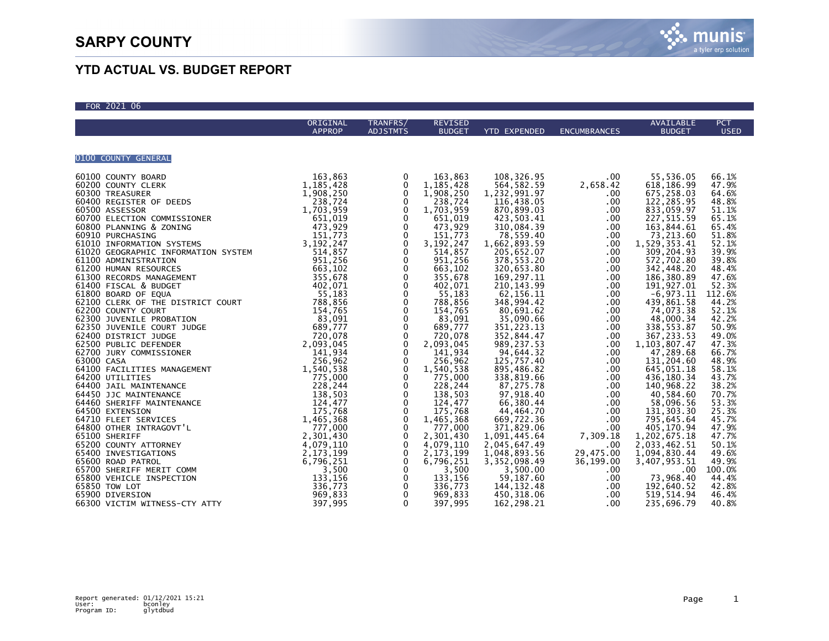$502100$ 



## **YTD ACTUAL VS. BUDGET REPORT**

| FOR ZUZI OD         |               |                                               |                        |                          |                     |                             |                         |
|---------------------|---------------|-----------------------------------------------|------------------------|--------------------------|---------------------|-----------------------------|-------------------------|
|                     | ORIGINAL      | TRANFRS/                                      | <b>REVISED</b>         |                          |                     | AVAILABLE                   | <b>PCT</b>              |
|                     | <b>APPROP</b> | <b>ADJSTMTS</b>                               | <b>BUDGET</b>          | <b>YTD EXPENDED</b>      | <b>ENCUMBRANCES</b> | <b>BUDGET</b>               | <b>USED</b>             |
|                     |               |                                               |                        |                          |                     |                             |                         |
|                     |               |                                               |                        |                          |                     |                             |                         |
| 0100 COUNTY GENERAL |               |                                               |                        |                          |                     |                             |                         |
|                     |               | 0                                             | 163,863                | 108,326.95               | .00                 | 55,536.05<br>618,186.99     | 66.1%                   |
|                     |               | $\mathbf 0$                                   | 1, 185, 428            | 564, 582.59              | 2,658.42            |                             | 47.9%                   |
|                     |               | $\mathbf 0$                                   | 1,908,250              | 1,232,991.97             | .00                 | 675,258.03                  | 64.6%                   |
|                     |               | $\pmb{0}$                                     | 238,724                | 116,438.05               | .00                 | 122, 285.95                 | 48.8%                   |
|                     |               | $\mathbf 0$                                   | 1,703,959              | 870,899.03               | .00                 | 833,059.97                  | 51.1%                   |
|                     |               | $\mathbf 0$                                   |                        | 423,503.41               | .00                 | 227, 515.59<br>163, 844.61  | 65.1%                   |
|                     |               | $\mathbf 0$                                   |                        | 310,084.39               | .00                 |                             | 65.4%                   |
|                     |               | 0                                             |                        | 78,559.40                | .00                 | 73,213.60                   | 51.8%                   |
|                     |               | $\pmb{0}$                                     | 3, 192, 247            | 1,662,893.59             | .00                 | 1,529,353.41                | 52.1%                   |
|                     |               | $\mathbf 0$                                   | 514,857                | 205,652.07               | .00                 | 309, 204.93                 | 39.9%                   |
|                     |               |                                               | 951,256                | 378,553.20               | .00                 | 572,702.80                  | 39.8%                   |
|                     |               |                                               | 663,102                | 320,653.80               | .00                 | 342,448.20                  | 48.4%                   |
|                     |               | $\begin{smallmatrix}0\0\0\0\end{smallmatrix}$ | 355,678                | 169,297.11               | .00                 | 186,380.89                  | 47.6%                   |
|                     |               |                                               | 402,071                | 210, 143.99              | .00                 | 191, 927.01                 | 52.3%                   |
|                     |               | $\pmb{0}$                                     | 55,183                 | 62,156.11                | .00                 | $-6,973.11$                 | 112.6%                  |
|                     |               | $\pmb{0}$                                     | 788,856                | 348,994.42               | .00                 | 439,861.58                  | 44.2%                   |
|                     |               | $\ddot{\mathbf{0}}$                           | 154,765                | 80,691.62                | .00                 | 74,073.38                   | 52.1%                   |
|                     |               | $\pmb{0}$                                     | 83,091                 | 35,090.66                | .00                 | 48,000.34                   | 42.2%                   |
|                     |               | $\mathbf 0$                                   | 689,777<br>720,078     | 351,223.13<br>352,844.47 | .00<br>.00          | 338, 553.87<br>367, 233.53  | 50.9%<br>49.0%          |
|                     |               | $\overline{0}$<br>0                           | 2,093,045              | 989,237.53               | .00                 |                             | 47.3%                   |
|                     |               | $\overline{0}$                                | 141,934                | 94,644.32                | .00                 | 1, 103, 807.47<br>47,289.68 | 66.7%                   |
|                     |               | $\mathbf 0$                                   | 256,962                | 125,757.40               | .00                 | 131,204.60                  | 48.9%                   |
|                     |               | $\pmb{0}$                                     |                        | 895,486.82               | .00                 |                             | 58.1%                   |
|                     |               | $\mathbf 0$                                   | 1,540,538<br>775,000   | 338,819.66               | .00                 | 645,051.18<br>436,180.34    | 43.7%                   |
|                     |               | $\mathbf 0$                                   | 228,244                | 87,275.78                | .00                 | 140,968.22                  |                         |
|                     |               |                                               | 138,503                | 97,918.40                | .00                 | 40,584.60                   | 38.2%<br>70.7%          |
|                     |               | $_{\rm 0}^{\rm 0}$                            | 124,477                | 66,380.44                | .00                 | 58,096.56                   |                         |
|                     |               |                                               | 175,768                | 44,464.70                | .00                 | 131, 303.30                 | $\frac{53.3\%}{25.3\%}$ |
|                     |               | $\overline{0}$<br>0                           | 1,465,368              | 669,722.36               | .00                 | 795,645.64                  | 45.7%                   |
|                     |               | 0                                             | 777,000                | 371,829.06               | .00                 | 405,170.94                  | 47.9%                   |
|                     |               | 0                                             | 2,301,430              | 1,091,445.64             | 7,309.18            | 1,202,675.18                | 47.7%                   |
|                     |               | $\pmb{0}$                                     |                        | 2,045,647.49             | .00                 | 2,033,462.51                | 50.1%                   |
|                     |               | $\mathbf 0$                                   | 4,079,110<br>2,173,199 | 1,048,893.56             | 29,475.00           | 1,094,830.44                | 49.6%                   |
|                     |               | 0                                             | 6,796,251              | 3,352,098.49             | 36,199.00           | 3,407,953.51                | 49.9%                   |
|                     |               | $\mathbf 0$                                   | 3,500                  | 3,500.00                 | .00                 | .00                         | 100.0%                  |
|                     |               | 0                                             | 133,156                | 59,187.60                | .00                 | 73,968.40                   | 44.4%                   |
|                     |               |                                               | 336,773                | 144, 132.48              | .00                 | 192,640.52                  | 42.8%                   |
|                     |               | $\overline{0}$<br>0                           | 969,833                | 450,318.06               | .00                 | 519, 514.94                 | 46.4%                   |
|                     |               | $\mathbf{0}$                                  | 397,995                | 162,298.21               | .00                 | 235,696.79                  | 40.8%                   |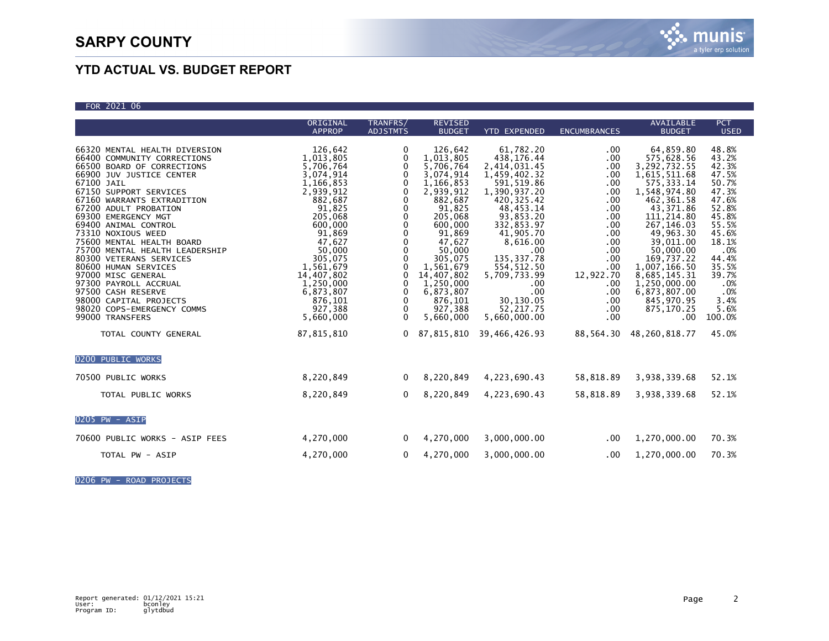| FOR 2021 06 |  |
|-------------|--|

|                                                                                                                                                                                                                                                                                                                                                                                                                                                                                                                                                              | ORIGINAL                                                                                                                                                                                                                                             | TRANFRS/                                                                                                                                                                                                           | <b>REVISED</b>                                                                                                                                                                                                                                       |                                                                                                                                                                                                                                                                                                    |                                                                                                                                                                  | AVAILABLE                                                                                                                                                                                                                                                                                               | <b>PCT</b>                                                                                                                                                                         |
|--------------------------------------------------------------------------------------------------------------------------------------------------------------------------------------------------------------------------------------------------------------------------------------------------------------------------------------------------------------------------------------------------------------------------------------------------------------------------------------------------------------------------------------------------------------|------------------------------------------------------------------------------------------------------------------------------------------------------------------------------------------------------------------------------------------------------|--------------------------------------------------------------------------------------------------------------------------------------------------------------------------------------------------------------------|------------------------------------------------------------------------------------------------------------------------------------------------------------------------------------------------------------------------------------------------------|----------------------------------------------------------------------------------------------------------------------------------------------------------------------------------------------------------------------------------------------------------------------------------------------------|------------------------------------------------------------------------------------------------------------------------------------------------------------------|---------------------------------------------------------------------------------------------------------------------------------------------------------------------------------------------------------------------------------------------------------------------------------------------------------|------------------------------------------------------------------------------------------------------------------------------------------------------------------------------------|
|                                                                                                                                                                                                                                                                                                                                                                                                                                                                                                                                                              | <b>APPROP</b>                                                                                                                                                                                                                                        | <b>ADJSTMTS</b>                                                                                                                                                                                                    | <b>BUDGET</b>                                                                                                                                                                                                                                        | <b>YTD EXPENDED</b>                                                                                                                                                                                                                                                                                | <b>ENCUMBRANCES</b>                                                                                                                                              | <b>BUDGET</b>                                                                                                                                                                                                                                                                                           | <b>USED</b>                                                                                                                                                                        |
| 66320 MENTAL HEALTH DIVERSION<br>66400 COMMUNITY CORRECTIONS<br>66500 BOARD OF CORRECTIONS<br>66900 JUV JUSTICE CENTER<br>67100 JAIL<br>67150 SUPPORT SERVICES<br>67160 WARRANTS EXTRADITION<br>67200 ADULT PROBATION<br>69300 EMERGENCY MGT<br>69400 ANIMAL CONTROL<br>73310 NOXIOUS WEED<br>75600 MENTAL HEALTH BOARD<br>75700 MENTAL HEALTH LEADERSHIP<br>80300 VETERANS SERVICES<br>80600 HUMAN SERVICES<br>97000 MISC GENERAL<br>97300 PAYROLL ACCRUAL<br>97500 CASH RESERVE<br>98000 CAPITAL PROJECTS<br>98020 COPS-EMERGENCY COMMS<br>99000 TRANSFERS | 126,642<br>1,013,805<br>5,706,764<br>3,074,914<br>1,166,853<br>2,939,912<br>882,687<br>91,825<br>205,068<br>600,000<br>91,869<br>47,627<br>50,000<br>305,075<br>1,561,679<br>14,407,802<br>1,250,000<br>6,873,807<br>876,101<br>927,388<br>5,660,000 | 0<br>0<br>$\mathbf 0$<br>$\Omega$<br>$\mathbf 0$<br>$\mathbf 0$<br>0<br>0<br>$\Omega$<br>$\Omega$<br>0<br>$\mathbf 0$<br>0<br>$\Omega$<br>0<br>$\Omega$<br>0<br>$\mathbf 0$<br>$\Omega$<br>$\mathbf 0$<br>$\Omega$ | 126,642<br>1,013,805<br>5,706,764<br>3,074,914<br>1,166,853<br>2,939,912<br>882,687<br>91,825<br>205,068<br>600,000<br>91,869<br>47,627<br>50,000<br>305,075<br>1,561,679<br>14,407,802<br>1,250,000<br>6.873.807<br>876,101<br>927.388<br>5,660,000 | 61,782.20<br>438,176.44<br>2,414,031.45<br>1,459,402.32<br>591,519.86<br>1,390,937.20<br>420, 325.42<br>48, 453. 14<br>93,853.20<br>332,853.97<br>41,905.70<br>8,616.00<br>.00 <sub>1</sub><br>135, 337. 78<br>554,512.50<br>5,709,733.99<br>.00.<br>.00<br>30,130.05<br>52.217.75<br>5,660,000.00 | $.00 \,$<br>.00<br>.00<br>.00<br>.00<br>.00<br>.00<br>.00.<br>.00<br>.00.<br>.00<br>.00<br>.00<br>.00.<br>.00.<br>12,922.70<br>.00<br>.00<br>.00.<br>.00.<br>.00 | 64,859.80<br>575,628.56<br>3,292,732.55<br>1,615,511.68<br>575, 333.14<br>1,548,974.80<br>462, 361.58<br>43,371.86<br>111,214.80<br>267, 146.03<br>49,963.30<br>39,011.00<br>50,000.00<br>169,737.22<br>1,007,166.50<br>8,685,145.31<br>1,250,000.00<br>6,873,807.00<br>845,970.95<br>875,170.25<br>.00 | 48.8%<br>43.2%<br>42.3%<br>47.5%<br>50.7%<br>47.3%<br>47.6%<br>52.8%<br>45.8%<br>55.5%<br>45.6%<br>18.1%<br>.0%<br>44.4%<br>35.5%<br>39.7%<br>.0%<br>.0%<br>3.4%<br>5.6%<br>100.0% |
| TOTAL COUNTY GENERAL                                                                                                                                                                                                                                                                                                                                                                                                                                                                                                                                         | 87,815,810                                                                                                                                                                                                                                           | $\mathbf{0}$                                                                                                                                                                                                       | 87,815,810                                                                                                                                                                                                                                           | 39,466,426.93                                                                                                                                                                                                                                                                                      | 88,564.30                                                                                                                                                        | 48,260,818.77                                                                                                                                                                                                                                                                                           | 45.0%                                                                                                                                                                              |
| 0200 PUBLIC WORKS<br>70500 PUBLIC WORKS<br>TOTAL PUBLIC WORKS                                                                                                                                                                                                                                                                                                                                                                                                                                                                                                | 8,220,849<br>8,220,849                                                                                                                                                                                                                               | $\mathbf{0}$<br>$\Omega$                                                                                                                                                                                           | 8,220,849<br>8,220,849                                                                                                                                                                                                                               | 4,223,690.43<br>4,223,690.43                                                                                                                                                                                                                                                                       | 58,818.89<br>58,818.89                                                                                                                                           | 3,938,339.68<br>3,938,339.68                                                                                                                                                                                                                                                                            | 52.1%<br>52.1%                                                                                                                                                                     |
| 0205 PW - ASIP                                                                                                                                                                                                                                                                                                                                                                                                                                                                                                                                               |                                                                                                                                                                                                                                                      |                                                                                                                                                                                                                    |                                                                                                                                                                                                                                                      |                                                                                                                                                                                                                                                                                                    |                                                                                                                                                                  |                                                                                                                                                                                                                                                                                                         |                                                                                                                                                                                    |
| 70600 PUBLIC WORKS - ASIP FEES                                                                                                                                                                                                                                                                                                                                                                                                                                                                                                                               | 4,270,000                                                                                                                                                                                                                                            | $\mathbf{0}$                                                                                                                                                                                                       | 4,270,000                                                                                                                                                                                                                                            | 3,000,000.00                                                                                                                                                                                                                                                                                       | $.00 \,$                                                                                                                                                         | 1,270,000.00                                                                                                                                                                                                                                                                                            | 70.3%                                                                                                                                                                              |
| TOTAL PW - ASIP                                                                                                                                                                                                                                                                                                                                                                                                                                                                                                                                              | 4,270,000                                                                                                                                                                                                                                            | $\mathbf{0}$                                                                                                                                                                                                       | 4,270,000                                                                                                                                                                                                                                            | 3,000,000.00                                                                                                                                                                                                                                                                                       | $.00 \,$                                                                                                                                                         | 1,270,000.00                                                                                                                                                                                                                                                                                            | 70.3%                                                                                                                                                                              |

0206 PW - ROAD PROJECTS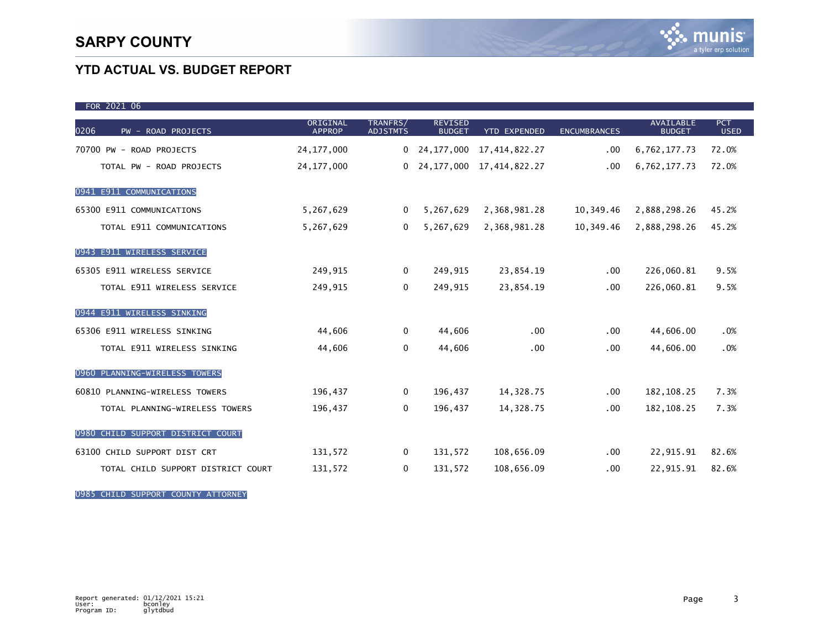| FOR 2021 06                        |                           |                             |                                 |                     |                     |                                   |                           |
|------------------------------------|---------------------------|-----------------------------|---------------------------------|---------------------|---------------------|-----------------------------------|---------------------------|
| 0206<br>PW - ROAD PROJECTS         | ORIGINAL<br><b>APPROP</b> | TRANFRS/<br><b>ADJSTMTS</b> | <b>REVISED</b><br><b>BUDGET</b> | <b>YTD EXPENDED</b> | <b>ENCUMBRANCES</b> | <b>AVAILABLE</b><br><b>BUDGET</b> | <b>PCT</b><br><b>USED</b> |
| 70700 PW - ROAD PROJECTS           | 24, 177, 000              | 0                           | 24,177,000                      | 17,414,822.27       | .00                 | 6,762,177.73                      | 72.0%                     |
| TOTAL PW - ROAD PROJECTS           | 24, 177, 000              | 0                           | 24, 177, 000                    | 17, 414, 822. 27    | .00                 | 6,762,177.73                      | 72.0%                     |
| 0941 E911 COMMUNICATIONS           |                           |                             |                                 |                     |                     |                                   |                           |
| 65300 E911 COMMUNICATIONS          | 5,267,629                 | $\Omega$                    | 5,267,629                       | 2,368,981.28        | 10,349.46           | 2,888,298.26                      | 45.2%                     |
| TOTAL E911 COMMUNICATIONS          | 5,267,629                 | 0                           | 5,267,629                       | 2,368,981.28        | 10,349.46           | 2,888,298.26                      | 45.2%                     |
| 0943 E911 WIRELESS SERVICE         |                           |                             |                                 |                     |                     |                                   |                           |
| 65305 E911 WIRELESS SERVICE        | 249,915                   | $\mathbf 0$                 | 249,915                         | 23,854.19           | .00                 | 226,060.81                        | 9.5%                      |
| TOTAL E911 WIRELESS SERVICE        | 249,915                   | 0                           | 249,915                         | 23,854.19           | .00                 | 226,060.81                        | 9.5%                      |
| 0944 E911 WIRELESS SINKING         |                           |                             |                                 |                     |                     |                                   |                           |
| 65306 E911 WIRELESS SINKING        | 44,606                    | 0                           | 44,606                          | .00                 | .00                 | 44,606.00                         | .0%                       |
| TOTAL E911 WIRELESS SINKING        | 44,606                    | 0                           | 44,606                          | .00                 | .00                 | 44,606.00                         | .0%                       |
| 0960 PLANNING-WIRELESS TOWERS      |                           |                             |                                 |                     |                     |                                   |                           |
| 60810 PLANNING-WIRELESS TOWERS     | 196,437                   | 0                           | 196,437                         | 14,328.75           | .00                 | 182, 108.25                       | 7.3%                      |
| TOTAL PLANNING-WIRELESS TOWERS     | 196,437                   | 0                           | 196,437                         | 14,328.75           | .00                 | 182, 108. 25                      | 7.3%                      |
| 0980 CHILD SUPPORT DISTRICT COURT  |                           |                             |                                 |                     |                     |                                   |                           |
| 63100 CHILD SUPPORT DIST CRT       | 131,572                   | 0                           | 131,572                         | 108,656.09          | .00                 | 22,915.91                         | 82.6%                     |
| TOTAL CHILD SUPPORT DISTRICT COURT | 131,572                   | 0                           | 131,572                         | 108,656.09          | .00                 | 22,915.91                         | 82.6%                     |

0985 CHILD SUPPORT COUNTY ATTORNEY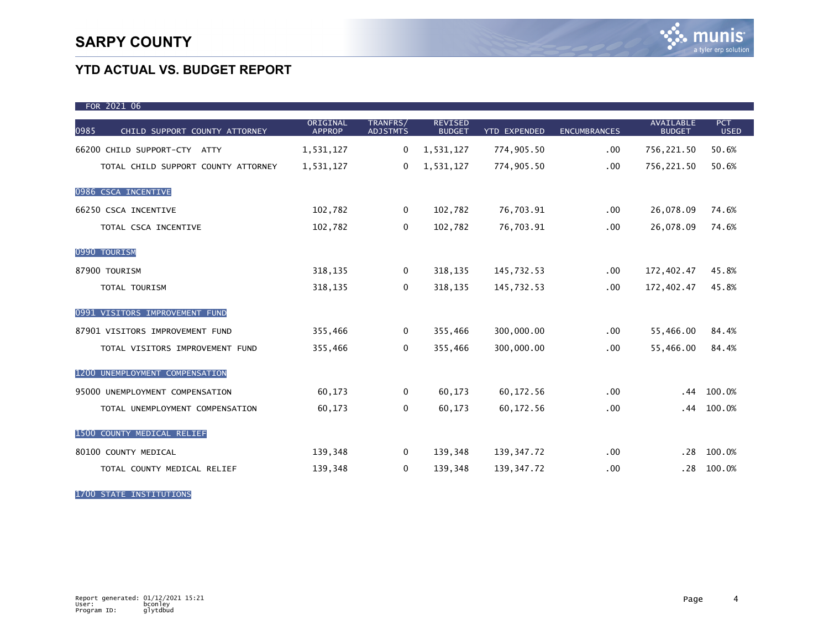| FOR 2021 06                           |                           |                             |                                 |                     |                     |                                   |                           |
|---------------------------------------|---------------------------|-----------------------------|---------------------------------|---------------------|---------------------|-----------------------------------|---------------------------|
| 0985<br>CHILD SUPPORT COUNTY ATTORNEY | ORIGINAL<br><b>APPROP</b> | TRANFRS/<br><b>ADJSTMTS</b> | <b>REVISED</b><br><b>BUDGET</b> | <b>YTD EXPENDED</b> | <b>ENCUMBRANCES</b> | <b>AVAILABLE</b><br><b>BUDGET</b> | <b>PCT</b><br><b>USED</b> |
| 66200 CHILD SUPPORT-CTY ATTY          | 1,531,127                 | 0                           | 1,531,127                       | 774,905.50          | .00                 | 756,221.50                        | 50.6%                     |
| TOTAL CHILD SUPPORT COUNTY ATTORNEY   | 1,531,127                 | 0                           | 1,531,127                       | 774,905.50          | .00                 | 756,221.50                        | 50.6%                     |
| 0986 CSCA INCENTIVE                   |                           |                             |                                 |                     |                     |                                   |                           |
| 66250 CSCA INCENTIVE                  | 102,782                   | 0                           | 102,782                         | 76,703.91           | .00                 | 26,078.09                         | 74.6%                     |
| TOTAL CSCA INCENTIVE                  | 102,782                   | $\mathbf 0$                 | 102,782                         | 76,703.91           | .00                 | 26,078.09                         | 74.6%                     |
| 0990 TOURISM                          |                           |                             |                                 |                     |                     |                                   |                           |
| 87900 TOURISM                         | 318,135                   | 0                           | 318,135                         | 145,732.53          | .00                 | 172,402.47                        | 45.8%                     |
| TOTAL TOURISM                         | 318,135                   | 0                           | 318,135                         | 145,732.53          | .00                 | 172,402.47                        | 45.8%                     |
| 0991 VISITORS IMPROVEMENT FUND        |                           |                             |                                 |                     |                     |                                   |                           |
| 87901 VISITORS IMPROVEMENT FUND       | 355,466                   | 0                           | 355,466                         | 300,000.00          | .00                 | 55,466.00                         | 84.4%                     |
| TOTAL VISITORS IMPROVEMENT FUND       | 355,466                   | 0                           | 355,466                         | 300,000.00          | .00                 | 55,466.00                         | 84.4%                     |
| 1200 UNEMPLOYMENT COMPENSATION        |                           |                             |                                 |                     |                     |                                   |                           |
| 95000 UNEMPLOYMENT COMPENSATION       | 60,173                    | 0                           | 60,173                          | 60,172.56           | .00                 | .44                               | 100.0%                    |
| TOTAL UNEMPLOYMENT COMPENSATION       | 60,173                    | 0                           | 60,173                          | 60,172.56           | .00                 | .44                               | 100.0%                    |
| 1500 COUNTY MEDICAL RELIEF            |                           |                             |                                 |                     |                     |                                   |                           |
| 80100 COUNTY MEDICAL                  | 139,348                   | 0                           | 139,348                         | 139,347.72          | .00                 | .28                               | 100.0%                    |
| TOTAL COUNTY MEDICAL RELIEF           | 139,348                   | 0                           | 139,348                         | 139,347.72          | .00                 | .28                               | 100.0%                    |

1700 STATE INSTITUTIONS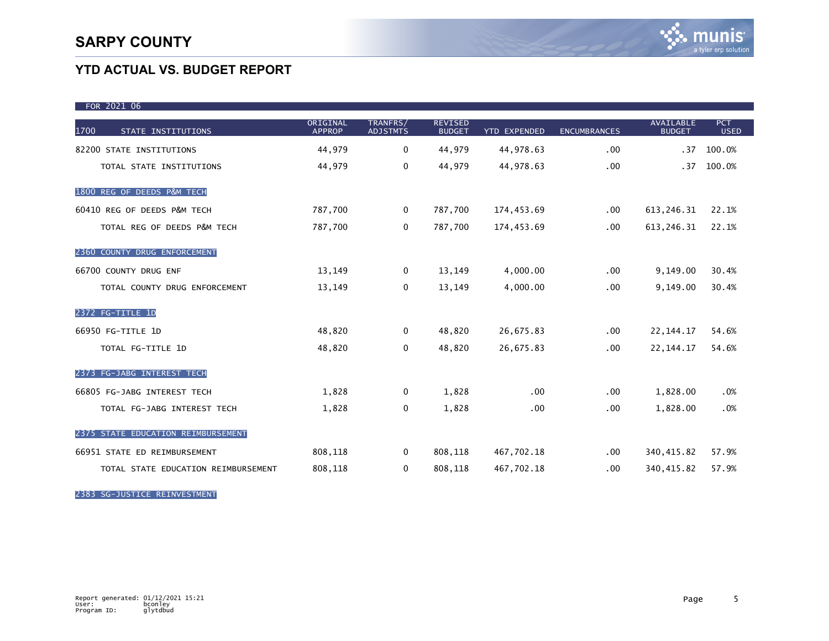| FOR 2021 06                         |                           |                             |                                 |                     |                     |                                   |                           |
|-------------------------------------|---------------------------|-----------------------------|---------------------------------|---------------------|---------------------|-----------------------------------|---------------------------|
| 1700<br>STATE INSTITUTIONS          | ORIGINAL<br><b>APPROP</b> | TRANFRS/<br><b>ADJSTMTS</b> | <b>REVISED</b><br><b>BUDGET</b> | <b>YTD EXPENDED</b> | <b>ENCUMBRANCES</b> | <b>AVAILABLE</b><br><b>BUDGET</b> | <b>PCT</b><br><b>USED</b> |
| 82200 STATE INSTITUTIONS            | 44,979                    | $\mathbf 0$                 | 44,979                          | 44,978.63           | .00                 | .37                               | 100.0%                    |
| TOTAL STATE INSTITUTIONS            | 44,979                    | $\mathbf 0$                 | 44,979                          | 44,978.63           | .00                 | .37                               | 100.0%                    |
| 1800 REG OF DEEDS P&M TECH          |                           |                             |                                 |                     |                     |                                   |                           |
| 60410 REG OF DEEDS P&M TECH         | 787,700                   | $\mathbf{0}$                | 787,700                         | 174,453.69          | .00                 | 613,246.31                        | 22.1%                     |
| TOTAL REG OF DEEDS P&M TECH         | 787,700                   | 0                           | 787,700                         | 174,453.69          | .00                 | 613, 246. 31                      | 22.1%                     |
| 2360 COUNTY DRUG ENFORCEMENT        |                           |                             |                                 |                     |                     |                                   |                           |
| 66700 COUNTY DRUG ENF               | 13,149                    | $\mathbf{0}$                | 13,149                          | 4,000.00            | .00                 | 9,149.00                          | 30.4%                     |
| TOTAL COUNTY DRUG ENFORCEMENT       | 13,149                    | $\mathbf 0$                 | 13,149                          | 4,000.00            | .00                 | 9,149.00                          | 30.4%                     |
| 2372 FG-TITLE 1D                    |                           |                             |                                 |                     |                     |                                   |                           |
| 66950 FG-TITLE 1D                   | 48,820                    | $\mathbf{0}$                | 48,820                          | 26,675.83           | .00                 | 22, 144. 17                       | 54.6%                     |
| TOTAL FG-TITLE 1D                   | 48,820                    | 0                           | 48,820                          | 26,675.83           | .00                 | 22, 144. 17                       | 54.6%                     |
| 2373 FG-JABG INTEREST TECH          |                           |                             |                                 |                     |                     |                                   |                           |
| 66805 FG-JABG INTEREST TECH         | 1,828                     | 0                           | 1,828                           | .00                 | .00                 | 1,828.00                          | .0%                       |
| TOTAL FG-JABG INTEREST TECH         | 1,828                     | 0                           | 1,828                           | .00                 | .00                 | 1,828.00                          | .0%                       |
| 2375 STATE EDUCATION REIMBURSEMENT  |                           |                             |                                 |                     |                     |                                   |                           |
| 66951 STATE ED REIMBURSEMENT        | 808,118                   | $\mathbf 0$                 | 808,118                         | 467,702.18          | $.00 \,$            | 340, 415.82                       | 57.9%                     |
| TOTAL STATE EDUCATION REIMBURSEMENT | 808,118                   | 0                           | 808,118                         | 467,702.18          | $.00 \,$            | 340, 415.82                       | 57.9%                     |

2383 SG-JUSTICE REINVESTMENT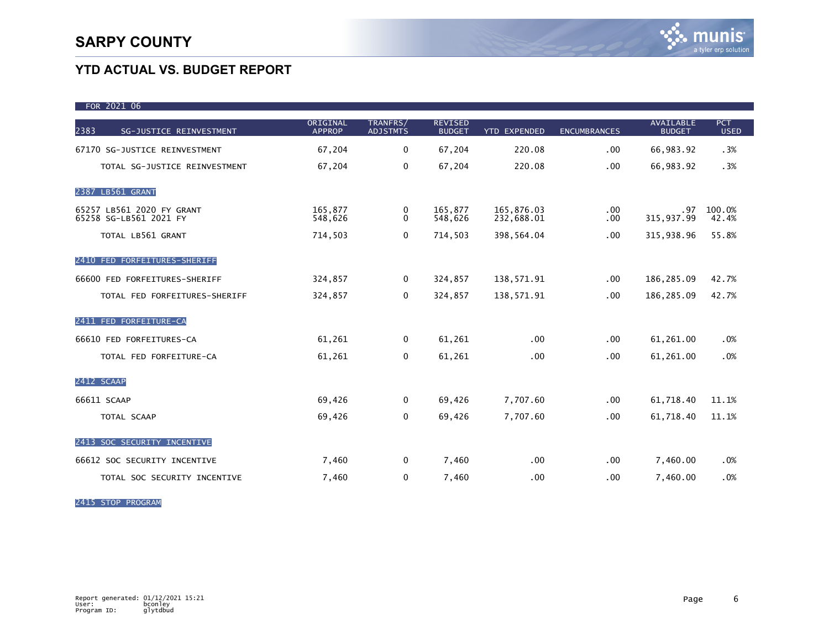| FOR 2021 06                                         |                           |                             |                                 |                          |                     |                                   |                           |
|-----------------------------------------------------|---------------------------|-----------------------------|---------------------------------|--------------------------|---------------------|-----------------------------------|---------------------------|
| 2383<br>SG-JUSTICE REINVESTMENT                     | ORIGINAL<br><b>APPROP</b> | TRANFRS/<br><b>ADJSTMTS</b> | <b>REVISED</b><br><b>BUDGET</b> | <b>YTD EXPENDED</b>      | <b>ENCUMBRANCES</b> | <b>AVAILABLE</b><br><b>BUDGET</b> | <b>PCT</b><br><b>USED</b> |
| 67170 SG-JUSTICE REINVESTMENT                       | 67,204                    | $\mathbf 0$                 | 67,204                          | 220.08                   | .00                 | 66,983.92                         | .3%                       |
| TOTAL SG-JUSTICE REINVESTMENT                       | 67,204                    | $\mathbf 0$                 | 67,204                          | 220.08                   | .00                 | 66,983.92                         | .3%                       |
| 2387 LB561 GRANT                                    |                           |                             |                                 |                          |                     |                                   |                           |
| 65257 LB561 2020 FY GRANT<br>65258 SG-LB561 2021 FY | 165,877<br>548,626        | 0<br>$\Omega$               | 165,877<br>548,626              | 165,876.03<br>232,688.01 | .00<br>.00          | .97<br>315,937.99                 | 100.0%<br>42.4%           |
| TOTAL LB561 GRANT                                   | 714,503                   | 0                           | 714,503                         | 398,564.04               | .00                 | 315,938.96                        | 55.8%                     |
| 2410 FED FORFEITURES-SHERIFF                        |                           |                             |                                 |                          |                     |                                   |                           |
| 66600 FED FORFEITURES-SHERIFF                       | 324,857                   | $\mathbf{0}$                | 324,857                         | 138,571.91               | .00                 | 186,285.09                        | 42.7%                     |
| TOTAL FED FORFEITURES-SHERIFF                       | 324,857                   | 0                           | 324,857                         | 138,571.91               | .00                 | 186,285.09                        | 42.7%                     |
| 2411 FED FORFEITURE-CA                              |                           |                             |                                 |                          |                     |                                   |                           |
| 66610 FED FORFEITURES-CA                            | 61,261                    | 0                           | 61,261                          | .00                      | .00                 | 61,261.00                         | .0%                       |
| TOTAL FED FORFEITURE-CA                             | 61,261                    | 0                           | 61,261                          | .00                      | .00                 | 61,261.00                         | .0%                       |
| 2412 SCAAP                                          |                           |                             |                                 |                          |                     |                                   |                           |
| 66611 SCAAP                                         | 69,426                    | 0                           | 69,426                          | 7,707.60                 | .00                 | 61,718.40                         | 11.1%                     |
| TOTAL SCAAP                                         | 69,426                    | $\mathbf 0$                 | 69,426                          | 7,707.60                 | .00                 | 61,718.40                         | 11.1%                     |
| 2413 SOC SECURITY INCENTIVE                         |                           |                             |                                 |                          |                     |                                   |                           |
| 66612 SOC SECURITY INCENTIVE                        | 7,460                     | $\mathbf{0}$                | 7,460                           | .00                      | .00                 | 7,460.00                          | .0%                       |
| TOTAL SOC SECURITY INCENTIVE                        | 7,460                     | 0                           | 7,460                           | .00                      | .00                 | 7,460.00                          | .0%                       |

2415 STOP PROGRAM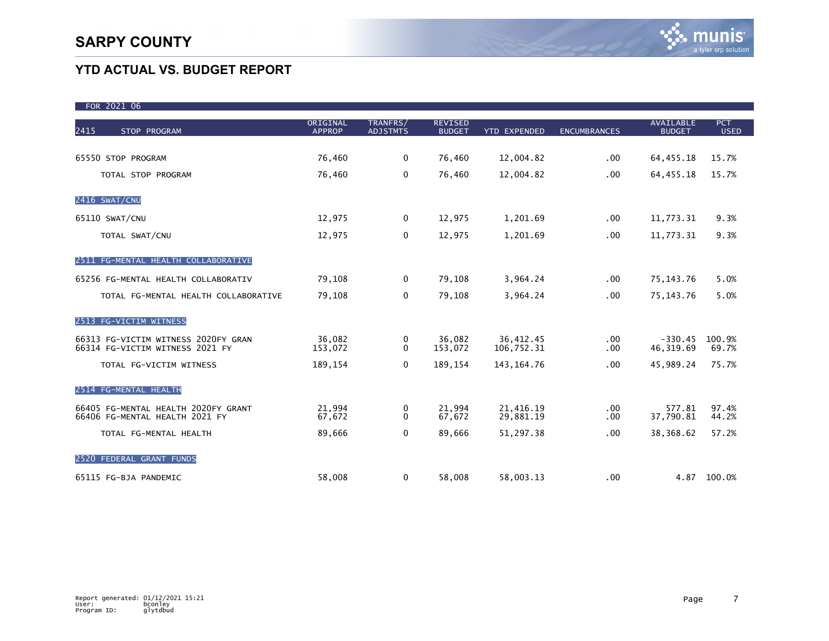$502122$ 

# **YTD ACTUAL VS. BUDGET REPORT**

| FOR ZUZI OD                                                            |                           |                             |                                 |                         |                     |                                   |                           |
|------------------------------------------------------------------------|---------------------------|-----------------------------|---------------------------------|-------------------------|---------------------|-----------------------------------|---------------------------|
| 2415<br>STOP PROGRAM                                                   | ORIGINAL<br><b>APPROP</b> | TRANFRS/<br><b>ADJSTMTS</b> | <b>REVISED</b><br><b>BUDGET</b> | <b>YTD EXPENDED</b>     | <b>ENCUMBRANCES</b> | <b>AVAILABLE</b><br><b>BUDGET</b> | <b>PCT</b><br><b>USED</b> |
| 65550 STOP PROGRAM                                                     | 76,460                    | 0                           | 76,460                          | 12,004.82               | .00                 | 64, 455. 18                       | 15.7%                     |
| TOTAL STOP PROGRAM                                                     | 76,460                    | 0                           | 76,460                          | 12,004.82               | .00                 | 64, 455. 18                       | 15.7%                     |
| 2416 SWAT/CNU                                                          |                           |                             |                                 |                         |                     |                                   |                           |
| 65110 SWAT/CNU                                                         | 12,975                    | 0                           | 12,975                          | 1,201.69                | .00                 | 11,773.31                         | 9.3%                      |
| TOTAL SWAT/CNU                                                         | 12,975                    | 0                           | 12,975                          | 1,201.69                | .00                 | 11,773.31                         | 9.3%                      |
| 2511 FG-MENTAL HEALTH COLLABORATIVE                                    |                           |                             |                                 |                         |                     |                                   |                           |
| 65256 FG-MENTAL HEALTH COLLABORATIV                                    | 79,108                    | 0                           | 79,108                          | 3,964.24                | .00                 | 75, 143. 76                       | 5.0%                      |
| TOTAL FG-MENTAL HEALTH COLLABORATIVE                                   | 79,108                    | 0                           | 79,108                          | 3,964.24                | .00                 | 75, 143. 76                       | 5.0%                      |
| 2513 FG-VICTIM WITNESS                                                 |                           |                             |                                 |                         |                     |                                   |                           |
| 66313 FG-VICTIM WITNESS 2020FY GRAN<br>66314 FG-VICTIM WITNESS 2021 FY | 36,082<br>153,072         | 0<br>$\Omega$               | 36,082<br>153,072               | 36,412.45<br>106,752.31 | .00<br>.00          | $-330.45$<br>46, 319.69           | 100.9%<br>69.7%           |
| TOTAL FG-VICTIM WITNESS                                                | 189,154                   | 0                           | 189,154                         | 143, 164. 76            | .00                 | 45,989.24                         | 75.7%                     |
| 2514 FG-MENTAL HEALTH                                                  |                           |                             |                                 |                         |                     |                                   |                           |
| 66405 FG-MENTAL HEALTH 2020FY GRANT<br>66406 FG-MENTAL HEALTH 2021 FY  | 21,994<br>67,672          | 0<br>0                      | 21,994<br>67,672                | 21,416.19<br>29,881.19  | .00<br>.00          | 577.81<br>37,790.81               | 97.4%<br>44.2%            |
| TOTAL FG-MENTAL HEALTH                                                 | 89,666                    | $\mathbf 0$                 | 89,666                          | 51,297.38               | .00                 | 38,368.62                         | 57.2%                     |
| 2520 FEDERAL GRANT FUNDS                                               |                           |                             |                                 |                         |                     |                                   |                           |
| 65115 FG-BJA PANDEMIC                                                  | 58,008                    | 0                           | 58,008                          | 58,003.13               | .00                 |                                   | 4.87 100.0%               |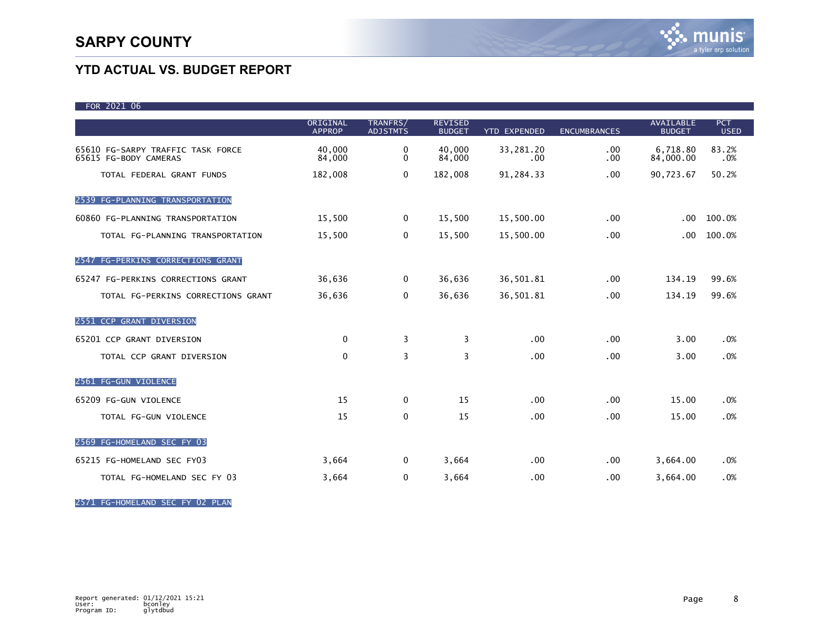| FOR 2021 06                                                |                           |                             |                                 |                     |                     |                                   |                           |
|------------------------------------------------------------|---------------------------|-----------------------------|---------------------------------|---------------------|---------------------|-----------------------------------|---------------------------|
|                                                            | ORIGINAL<br><b>APPROP</b> | TRANFRS/<br><b>ADJSTMTS</b> | <b>REVISED</b><br><b>BUDGET</b> | <b>YTD EXPENDED</b> | <b>ENCUMBRANCES</b> | <b>AVAILABLE</b><br><b>BUDGET</b> | <b>PCT</b><br><b>USED</b> |
| 65610 FG-SARPY TRAFFIC TASK FORCE<br>65615 FG-BODY CAMERAS | 40,000<br>84,000          | $\Omega$<br>0               | 40,000<br>84,000                | 33,281.20<br>.00    | .00<br>.00          | 6,718.80<br>84,000.00             | 83.2%<br>.0%              |
| TOTAL FEDERAL GRANT FUNDS                                  | 182,008                   | 0                           | 182,008                         | 91,284.33           | .00                 | 90,723.67                         | 50.2%                     |
| 2539 FG-PLANNING TRANSPORTATION                            |                           |                             |                                 |                     |                     |                                   |                           |
| 60860 FG-PLANNING TRANSPORTATION                           | 15,500                    | $\mathbf 0$                 | 15,500                          | 15,500.00           | .00                 | $.00 \,$                          | 100.0%                    |
| TOTAL FG-PLANNING TRANSPORTATION                           | 15,500                    | 0                           | 15,500                          | 15,500.00           | .00                 | $.00 \,$                          | 100.0%                    |
| 2547 FG-PERKINS CORRECTIONS GRANT                          |                           |                             |                                 |                     |                     |                                   |                           |
| 65247 FG-PERKINS CORRECTIONS GRANT                         | 36,636                    | $\mathbf 0$                 | 36,636                          | 36,501.81           | .00                 | 134.19                            | 99.6%                     |
| TOTAL FG-PERKINS CORRECTIONS GRANT                         | 36,636                    | 0                           | 36,636                          | 36,501.81           | .00                 | 134.19                            | 99.6%                     |
| 2551 CCP GRANT DIVERSION                                   |                           |                             |                                 |                     |                     |                                   |                           |
| 65201 CCP GRANT DIVERSION                                  | 0                         | 3                           | 3                               | .00                 | .00                 | 3.00                              | .0%                       |
| TOTAL CCP GRANT DIVERSION                                  | 0                         | 3                           | 3                               | .00                 | .00                 | 3.00                              | .0%                       |
| 2561 FG-GUN VIOLENCE                                       |                           |                             |                                 |                     |                     |                                   |                           |
| 65209 FG-GUN VIOLENCE                                      | 15                        | $\mathbf 0$                 | 15                              | .00                 | .00                 | 15.00                             | .0%                       |
| TOTAL FG-GUN VIOLENCE                                      | 15                        | 0                           | 15                              | .00                 | .00                 | 15.00                             | .0%                       |
| 2569 FG-HOMELAND SEC FY 03                                 |                           |                             |                                 |                     |                     |                                   |                           |
| 65215 FG-HOMELAND SEC FY03                                 | 3,664                     | $\mathbf 0$                 | 3,664                           | .00                 | .00                 | 3,664.00                          | .0%                       |
| TOTAL FG-HOMELAND SEC FY 03                                | 3,664                     | 0                           | 3,664                           | .00                 | .00                 | 3,664.00                          | .0%                       |

2571 FG-HOMELAND SEC FY 02 PLAN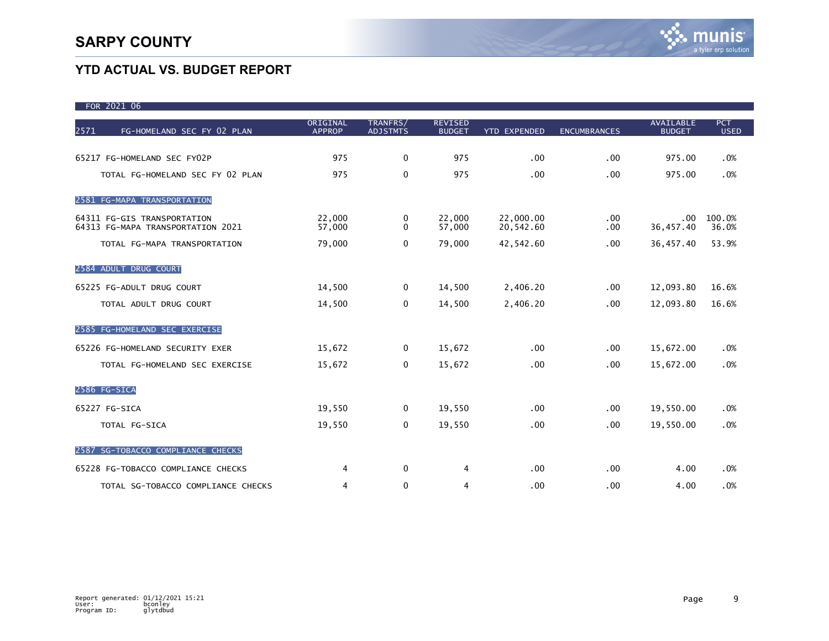| FOR 2021 06                                                      |                           |                             |                                 |                        |                     |                                   |                           |
|------------------------------------------------------------------|---------------------------|-----------------------------|---------------------------------|------------------------|---------------------|-----------------------------------|---------------------------|
| 2571<br>FG-HOMELAND SEC FY 02 PLAN                               | ORIGINAL<br><b>APPROP</b> | TRANFRS/<br><b>ADJSTMTS</b> | <b>REVISED</b><br><b>BUDGET</b> | <b>YTD EXPENDED</b>    | <b>ENCUMBRANCES</b> | <b>AVAILABLE</b><br><b>BUDGET</b> | <b>PCT</b><br><b>USED</b> |
|                                                                  |                           |                             |                                 |                        |                     |                                   |                           |
| 65217 FG-HOMELAND SEC FY02P                                      | 975                       | $\mathbf 0$                 | 975                             | .00                    | .00                 | 975.00                            | .0%                       |
| TOTAL FG-HOMELAND SEC FY 02 PLAN                                 | 975                       | $\mathbf 0$                 | 975                             | .00                    | .00                 | 975.00                            | .0%                       |
| 2581 FG-MAPA TRANSPORTATION                                      |                           |                             |                                 |                        |                     |                                   |                           |
| 64311 FG-GIS TRANSPORTATION<br>64313 FG-MAPA TRANSPORTATION 2021 | 22,000<br>57,000          | 0<br>0                      | 22,000<br>57,000                | 22,000.00<br>20,542.60 | .00<br>.00.         | .00<br>36,457.40                  | 100.0%<br>36.0%           |
| TOTAL FG-MAPA TRANSPORTATION                                     | 79,000                    | $\Omega$                    | 79,000                          | 42,542.60              | .00                 | 36,457.40                         | 53.9%                     |
| 2584 ADULT DRUG COURT                                            |                           |                             |                                 |                        |                     |                                   |                           |
| 65225 FG-ADULT DRUG COURT                                        | 14,500                    | 0                           | 14,500                          | 2,406.20               | .00                 | 12,093.80                         | 16.6%                     |
| TOTAL ADULT DRUG COURT                                           | 14,500                    | 0                           | 14,500                          | 2,406.20               | .00                 | 12,093.80                         | 16.6%                     |
| 2585 FG-HOMELAND SEC EXERCISE                                    |                           |                             |                                 |                        |                     |                                   |                           |
| 65226 FG-HOMELAND SECURITY EXER                                  | 15,672                    | 0                           | 15,672                          | .00                    | .00                 | 15,672.00                         | .0%                       |
| TOTAL FG-HOMELAND SEC EXERCISE                                   | 15,672                    | 0                           | 15,672                          | .00                    | .00                 | 15,672.00                         | .0%                       |
| 2586 FG-SICA                                                     |                           |                             |                                 |                        |                     |                                   |                           |
| 65227 FG-SICA                                                    | 19,550                    | $\mathbf{0}$                | 19,550                          | .00                    | .00                 | 19,550.00                         | .0%                       |
| TOTAL FG-SICA                                                    | 19,550                    | 0                           | 19,550                          | .00                    | .00                 | 19,550.00                         | .0%                       |
| 2587 SG-TOBACCO COMPLIANCE CHECKS                                |                           |                             |                                 |                        |                     |                                   |                           |
| 65228 FG-TOBACCO COMPLIANCE CHECKS                               | 4                         | 0                           | 4                               | .00                    | .00                 | 4.00                              | .0%                       |
| TOTAL SG-TOBACCO COMPLIANCE CHECKS                               | 4                         | $\mathbf 0$                 | 4                               | .00                    | .00                 | 4.00                              | .0%                       |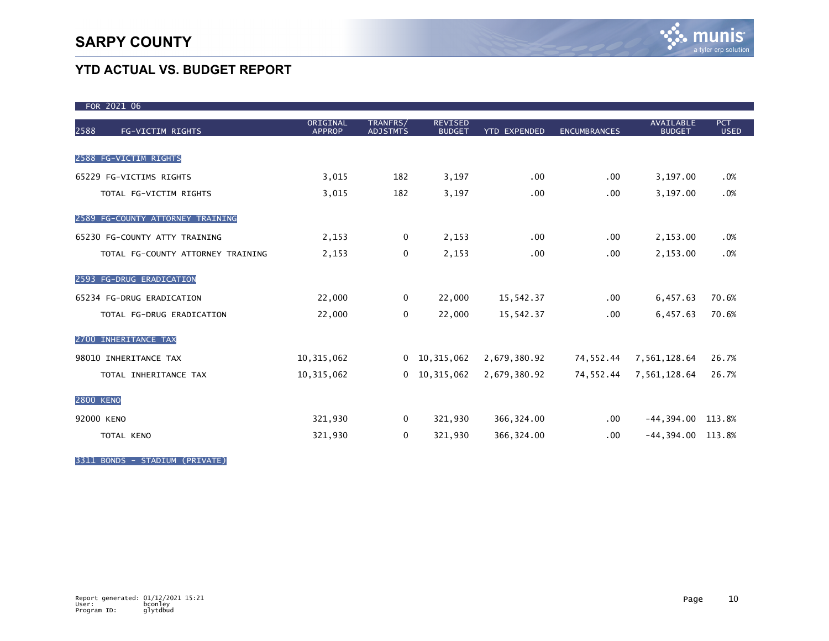| FOR 2021 06                       |                           |                             |                                 |                     |                     |                                   |                    |
|-----------------------------------|---------------------------|-----------------------------|---------------------------------|---------------------|---------------------|-----------------------------------|--------------------|
| 2588<br>FG-VICTIM RIGHTS          | ORIGINAL<br><b>APPROP</b> | TRANFRS/<br><b>ADJSTMTS</b> | <b>REVISED</b><br><b>BUDGET</b> | <b>YTD EXPENDED</b> | <b>ENCUMBRANCES</b> | <b>AVAILABLE</b><br><b>BUDGET</b> | PCT<br><b>USED</b> |
| 2588 FG-VICTIM RIGHTS             |                           |                             |                                 |                     |                     |                                   |                    |
|                                   |                           |                             |                                 |                     |                     |                                   |                    |
| 65229 FG-VICTIMS RIGHTS           | 3,015                     | 182                         | 3,197                           | .00 <sub>1</sub>    | $.00 \,$            | 3,197.00                          | .0%                |
| TOTAL FG-VICTIM RIGHTS            | 3,015                     | 182                         | 3,197                           | .00                 | .00.                | 3,197.00                          | .0%                |
| 2589 FG-COUNTY ATTORNEY TRAINING  |                           |                             |                                 |                     |                     |                                   |                    |
| 65230 FG-COUNTY ATTY TRAINING     | 2,153                     | $\mathbf 0$                 | 2,153                           | .00 <sub>1</sub>    | .00                 | 2,153.00                          | .0%                |
| TOTAL FG-COUNTY ATTORNEY TRAINING | 2,153                     | $\mathbf 0$                 | 2,153                           | .00                 | $.00 \,$            | 2,153.00                          | .0%                |
| 2593 FG-DRUG ERADICATION          |                           |                             |                                 |                     |                     |                                   |                    |
| 65234 FG-DRUG ERADICATION         | 22,000                    | $\mathbf 0$                 | 22,000                          | 15,542.37           | $.00 \,$            | 6,457.63                          | 70.6%              |
| TOTAL FG-DRUG ERADICATION         | 22,000                    | $\mathbf 0$                 | 22,000                          | 15,542.37           | $.00 \,$            | 6,457.63                          | 70.6%              |
| 2700 INHERITANCE TAX              |                           |                             |                                 |                     |                     |                                   |                    |
| 98010 INHERITANCE TAX             | 10, 315, 062              |                             | $0$ 10, 315, 062                | 2,679,380.92        | 74,552.44           | 7,561,128.64                      | 26.7%              |
| TOTAL INHERITANCE TAX             | 10, 315, 062              |                             | $0$ 10, 315, 062                | 2,679,380.92        | 74,552.44           | 7,561,128.64                      | 26.7%              |
| <b>2800 KENO</b>                  |                           |                             |                                 |                     |                     |                                   |                    |
| 92000 KENO                        | 321,930                   | $\mathbf 0$                 | 321,930                         | 366,324.00          | $.00 \,$            | $-44,394.00$ 113.8%               |                    |
| TOTAL KENO                        | 321,930                   | 0                           | 321,930                         | 366, 324.00         | $.00 \,$            | $-44,394.00$ 113.8%               |                    |

3311 BONDS - STADIUM (PRIVATE)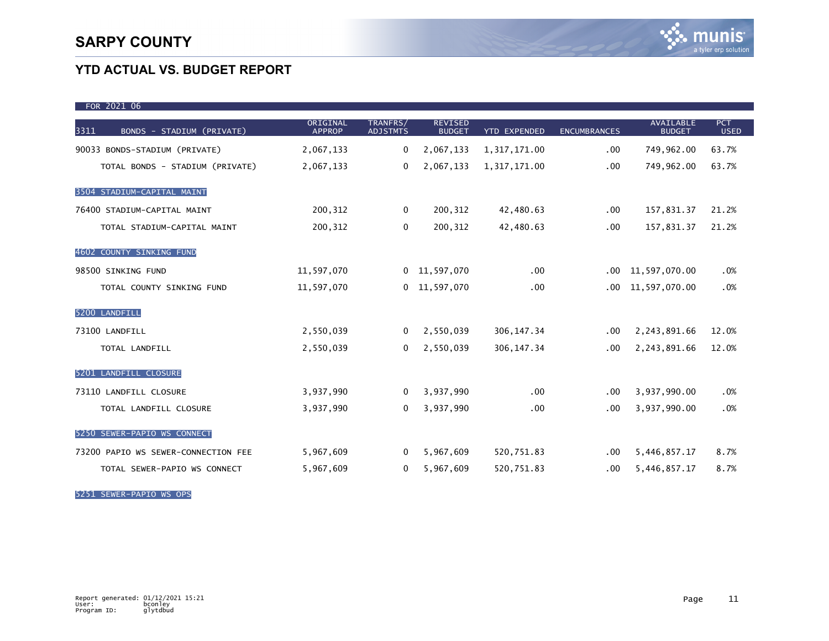| FOR 2021 06                         |                           |                             |                                 |                  |                     |                                   |                           |
|-------------------------------------|---------------------------|-----------------------------|---------------------------------|------------------|---------------------|-----------------------------------|---------------------------|
| BONDS - STADIUM (PRIVATE)<br>3311   | ORIGINAL<br><b>APPROP</b> | TRANFRS/<br><b>ADJSTMTS</b> | <b>REVISED</b><br><b>BUDGET</b> | YTD EXPENDED     | <b>ENCUMBRANCES</b> | <b>AVAILABLE</b><br><b>BUDGET</b> | <b>PCT</b><br><b>USED</b> |
| 90033 BONDS-STADIUM (PRIVATE)       | 2,067,133                 | $\Omega$                    | 2,067,133                       | 1,317,171.00     | .00                 | 749,962.00                        | 63.7%                     |
| TOTAL BONDS - STADIUM (PRIVATE)     | 2,067,133                 | $\mathbf 0$                 | 2,067,133                       | 1,317,171.00     | .00                 | 749,962.00                        | 63.7%                     |
| 3504 STADIUM-CAPITAL MAINT          |                           |                             |                                 |                  |                     |                                   |                           |
| 76400 STADIUM-CAPITAL MAINT         | 200, 312                  | $\Omega$                    | 200, 312                        | 42,480.63        | .00                 | 157,831.37                        | 21.2%                     |
| TOTAL STADIUM-CAPITAL MAINT         | 200, 312                  | 0                           | 200, 312                        | 42,480.63        | .00                 | 157,831.37                        | 21.2%                     |
| 4602 COUNTY SINKING FUND            |                           |                             |                                 |                  |                     |                                   |                           |
| 98500 SINKING FUND                  | 11,597,070                |                             | $0$ 11,597,070                  | .00 <sub>1</sub> | .00                 | 11,597,070.00                     | .0%                       |
| TOTAL COUNTY SINKING FUND           | 11,597,070                | $\mathbf{0}$                | 11,597,070                      | .00 <sub>1</sub> | .00.                | 11,597,070.00                     | .0%                       |
| 5200 LANDFILL                       |                           |                             |                                 |                  |                     |                                   |                           |
| 73100 LANDFILL                      | 2,550,039                 | $\Omega$                    | 2,550,039                       | 306, 147. 34     | .00                 | 2,243,891.66                      | 12.0%                     |
| TOTAL LANDFILL                      | 2,550,039                 | $\mathbf{0}$                | 2,550,039                       | 306, 147. 34     | .00                 | 2,243,891.66                      | 12.0%                     |
| 5201 LANDFILL CLOSURE               |                           |                             |                                 |                  |                     |                                   |                           |
| 73110 LANDFILL CLOSURE              | 3,937,990                 | $\mathbf{0}$                | 3,937,990                       | .00              | .00                 | 3,937,990.00                      | .0%                       |
| TOTAL LANDFILL CLOSURE              | 3,937,990                 | $\mathbf{0}$                | 3,937,990                       | .00              | .00                 | 3,937,990.00                      | .0%                       |
| 5250 SEWER-PAPIO WS CONNECT         |                           |                             |                                 |                  |                     |                                   |                           |
| 73200 PAPIO WS SEWER-CONNECTION FEE | 5,967,609                 | $\mathbf{0}$                | 5,967,609                       | 520,751.83       | .00                 | 5,446,857.17                      | 8.7%                      |
| TOTAL SEWER-PAPIO WS CONNECT        | 5,967,609                 | $\mathbf{0}$                | 5,967,609                       | 520,751.83       | .00                 | 5,446,857.17                      | 8.7%                      |

5251 SEWER-PAPIO WS OPS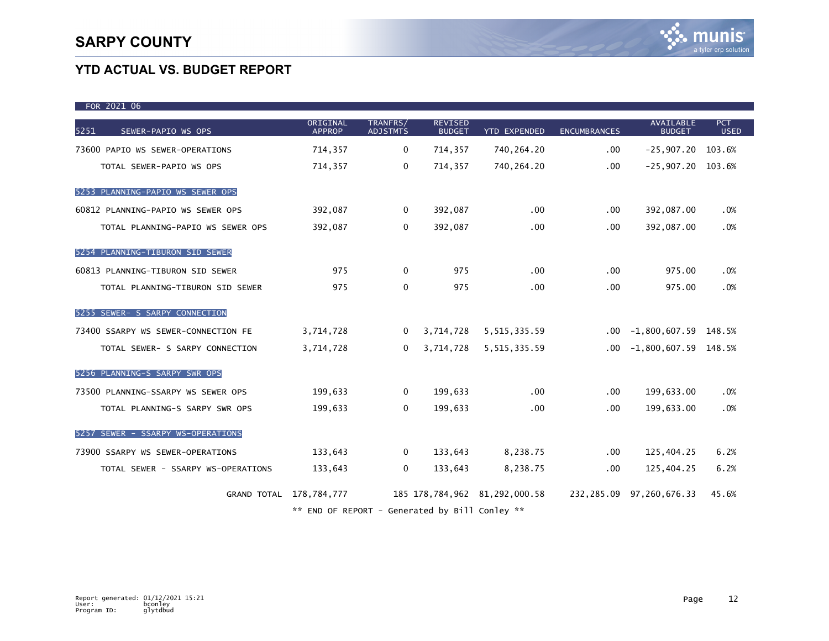| FOR 2021 06                         |                                                |                             |                                 |                               |                     |                                   |                           |
|-------------------------------------|------------------------------------------------|-----------------------------|---------------------------------|-------------------------------|---------------------|-----------------------------------|---------------------------|
| 5251<br>SEWER-PAPIO WS OPS          | ORIGINAL<br><b>APPROP</b>                      | TRANFRS/<br><b>ADJSTMTS</b> | <b>REVISED</b><br><b>BUDGET</b> | <b>YTD EXPENDED</b>           | <b>ENCUMBRANCES</b> | <b>AVAILABLE</b><br><b>BUDGET</b> | <b>PCT</b><br><b>USED</b> |
| 73600 PAPIO WS SEWER-OPERATIONS     | 714,357                                        | $\mathbf{0}$                | 714,357                         | 740,264.20                    | $.00 \,$            | $-25,907.20$ 103.6%               |                           |
| TOTAL SEWER-PAPIO WS OPS            | 714,357                                        | $\mathbf 0$                 | 714,357                         | 740,264.20                    | $.00 \,$            | $-25,907.20$ 103.6%               |                           |
| 5253 PLANNING-PAPIO WS SEWER OPS    |                                                |                             |                                 |                               |                     |                                   |                           |
| 60812 PLANNING-PAPIO WS SEWER OPS   | 392,087                                        | $\mathbf{0}$                | 392,087                         | $.00 \,$                      | $.00 \,$            | 392,087.00                        | .0%                       |
| TOTAL PLANNING-PAPIO WS SEWER OPS   | 392,087                                        | $\mathbf 0$                 | 392,087                         | $.00 \,$                      | $.00 \,$            | 392,087.00                        | .0%                       |
| 5254 PLANNING-TIBURON SID SEWER     |                                                |                             |                                 |                               |                     |                                   |                           |
| 60813 PLANNING-TIBURON SID SEWER    | 975                                            | $\mathbf{0}$                | 975                             | .00 <sub>1</sub>              | $.00 \,$            | 975.00                            | .0%                       |
| TOTAL PLANNING-TIBURON SID SEWER    | 975                                            | 0                           | 975                             | .00 <sub>1</sub>              | .00                 | 975.00                            | .0%                       |
| 5255 SEWER- S SARPY CONNECTION      |                                                |                             |                                 |                               |                     |                                   |                           |
| 73400 SSARPY WS SEWER-CONNECTION FE | 3,714,728                                      | $\Omega$                    | 3,714,728                       | 5, 515, 335.59                |                     | $.00 -1,800,607.59$ 148.5%        |                           |
| TOTAL SEWER- S SARPY CONNECTION     | 3,714,728                                      | $\Omega$                    | 3,714,728                       | 5, 515, 335.59                |                     | $.00 -1,800,607.59$ 148.5%        |                           |
| 5256 PLANNING-S SARPY SWR OPS       |                                                |                             |                                 |                               |                     |                                   |                           |
| 73500 PLANNING-SSARPY WS SEWER OPS  | 199,633                                        | $\Omega$                    | 199,633                         | $.00 \,$                      | $.00 \,$            | 199,633.00                        | .0%                       |
| TOTAL PLANNING-S SARPY SWR OPS      | 199,633                                        | $\mathbf{0}$                | 199,633                         | .00 <sub>1</sub>              | .00                 | 199,633.00                        | .0%                       |
| 5257 SEWER - SSARPY WS-OPERATIONS   |                                                |                             |                                 |                               |                     |                                   |                           |
| 73900 SSARPY WS SEWER-OPERATIONS    | 133,643                                        | $\Omega$                    | 133,643                         | 8,238.75                      | $.00 \,$            | 125,404.25                        | 6.2%                      |
| TOTAL SEWER - SSARPY WS-OPERATIONS  | 133,643                                        | $\mathbf{0}$                | 133,643                         | 8,238.75                      | $.00 \,$            | 125,404.25                        | 6.2%                      |
|                                     | GRAND TOTAL 178,784,777                        |                             |                                 | 185 178,784,962 81,292,000.58 |                     | 232,285.09 97,260,676.33          | 45.6%                     |
|                                     | ** END OF REPORT - Generated by Bill Conley ** |                             |                                 |                               |                     |                                   |                           |

Report generated: 01/12/2021 15:21 User: bconley Program ID: glytdbud